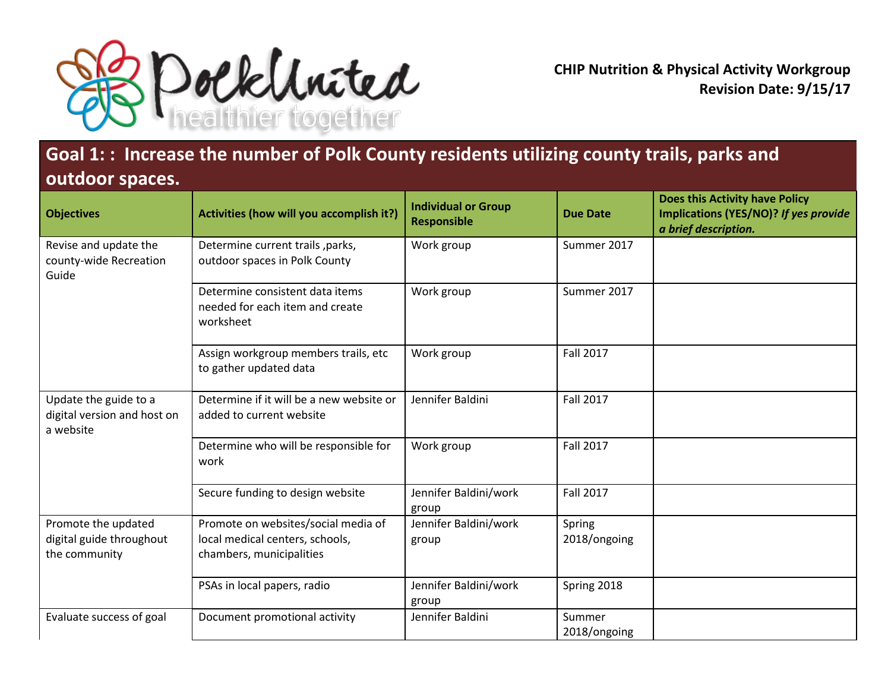

**CHIP Nutrition & Physical Activity Workgroup Revision Date: 9/15/17**

## **Goal 1: : Increase the number of Polk County residents utilizing county trails, parks and outdoor spaces.**

| <b>Objectives</b>                                                 | Activities (how will you accomplish it?)                                                           | <b>Individual or Group</b><br><b>Responsible</b> | <b>Due Date</b>        | <b>Does this Activity have Policy</b><br>Implications (YES/NO)? If yes provide<br>a brief description. |
|-------------------------------------------------------------------|----------------------------------------------------------------------------------------------------|--------------------------------------------------|------------------------|--------------------------------------------------------------------------------------------------------|
| Revise and update the<br>county-wide Recreation<br>Guide          | Determine current trails, parks,<br>outdoor spaces in Polk County                                  | Work group                                       | Summer 2017            |                                                                                                        |
|                                                                   | Determine consistent data items<br>needed for each item and create<br>worksheet                    | Work group                                       | Summer 2017            |                                                                                                        |
|                                                                   | Assign workgroup members trails, etc<br>to gather updated data                                     | Work group                                       | <b>Fall 2017</b>       |                                                                                                        |
| Update the guide to a<br>digital version and host on<br>a website | Determine if it will be a new website or<br>added to current website                               | Jennifer Baldini                                 | <b>Fall 2017</b>       |                                                                                                        |
|                                                                   | Determine who will be responsible for<br>work                                                      | Work group                                       | <b>Fall 2017</b>       |                                                                                                        |
|                                                                   | Secure funding to design website                                                                   | Jennifer Baldini/work<br>group                   | <b>Fall 2017</b>       |                                                                                                        |
| Promote the updated<br>digital guide throughout<br>the community  | Promote on websites/social media of<br>local medical centers, schools,<br>chambers, municipalities | Jennifer Baldini/work<br>group                   | Spring<br>2018/ongoing |                                                                                                        |
|                                                                   | PSAs in local papers, radio                                                                        | Jennifer Baldini/work<br>group                   | Spring 2018            |                                                                                                        |
| Evaluate success of goal                                          | Document promotional activity                                                                      | Jennifer Baldini                                 | Summer<br>2018/ongoing |                                                                                                        |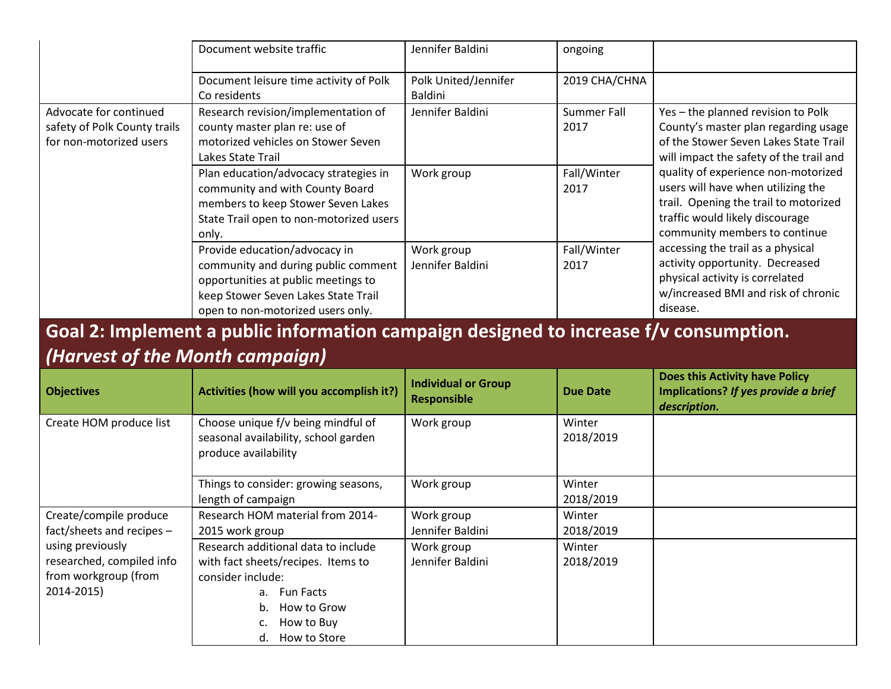|                                                                                   | Document website traffic                                                                                                                                                                | Jennifer Baldini                       | ongoing                    |                                                                                                                                                                                                                                                                                                                                                                                                                                                                                                                        |
|-----------------------------------------------------------------------------------|-----------------------------------------------------------------------------------------------------------------------------------------------------------------------------------------|----------------------------------------|----------------------------|------------------------------------------------------------------------------------------------------------------------------------------------------------------------------------------------------------------------------------------------------------------------------------------------------------------------------------------------------------------------------------------------------------------------------------------------------------------------------------------------------------------------|
|                                                                                   | Document leisure time activity of Polk<br>Co residents                                                                                                                                  | Polk United/Jennifer<br><b>Baldini</b> | 2019 CHA/CHNA              |                                                                                                                                                                                                                                                                                                                                                                                                                                                                                                                        |
| Advocate for continued<br>safety of Polk County trails<br>for non-motorized users | Research revision/implementation of<br>county master plan re: use of<br>motorized vehicles on Stower Seven<br>Lakes State Trail                                                         | Jennifer Baldini                       | <b>Summer Fall</b><br>2017 | Yes - the planned revision to Polk<br>County's master plan regarding usage<br>of the Stower Seven Lakes State Trail<br>will impact the safety of the trail and<br>quality of experience non-motorized<br>users will have when utilizing the<br>trail. Opening the trail to motorized<br>traffic would likely discourage<br>community members to continue<br>accessing the trail as a physical<br>activity opportunity. Decreased<br>physical activity is correlated<br>w/increased BMI and risk of chronic<br>disease. |
|                                                                                   | Plan education/advocacy strategies in<br>community and with County Board<br>members to keep Stower Seven Lakes<br>State Trail open to non-motorized users<br>only.                      | Work group                             | Fall/Winter<br>2017        |                                                                                                                                                                                                                                                                                                                                                                                                                                                                                                                        |
|                                                                                   | Provide education/advocacy in<br>community and during public comment<br>opportunities at public meetings to<br>keep Stower Seven Lakes State Trail<br>open to non-motorized users only. | Work group<br>Jennifer Baldini         | Fall/Winter<br>2017        |                                                                                                                                                                                                                                                                                                                                                                                                                                                                                                                        |

## **Goal 2: Implement a public information campaign designed to increase f/v consumption.** *(Harvest of the Month campaign)*

| <b>Objectives</b>                                                                                                                            | Activities (how will you accomplish it?)                                                                                                                                          | <b>Individual or Group</b><br><b>Responsible</b> | <b>Due Date</b>     | <b>Does this Activity have Policy</b><br>Implications? If yes provide a brief<br>description. |
|----------------------------------------------------------------------------------------------------------------------------------------------|-----------------------------------------------------------------------------------------------------------------------------------------------------------------------------------|--------------------------------------------------|---------------------|-----------------------------------------------------------------------------------------------|
| Create HOM produce list                                                                                                                      | Choose unique f/v being mindful of<br>seasonal availability, school garden<br>produce availability                                                                                | Work group                                       | Winter<br>2018/2019 |                                                                                               |
|                                                                                                                                              | Things to consider: growing seasons,<br>length of campaign                                                                                                                        | Work group                                       | Winter<br>2018/2019 |                                                                                               |
| Create/compile produce<br>fact/sheets and recipes $-$<br>using previously<br>researched, compiled info<br>from workgroup (from<br>2014-2015) | Research HOM material from 2014-<br>2015 work group                                                                                                                               | Work group<br>Jennifer Baldini                   | Winter<br>2018/2019 |                                                                                               |
|                                                                                                                                              | Research additional data to include<br>with fact sheets/recipes. Items to<br>consider include:<br><b>Fun Facts</b><br>а.<br>How to Grow<br>b.<br>How to Buy<br>How to Store<br>α. | Work group<br>Jennifer Baldini                   | Winter<br>2018/2019 |                                                                                               |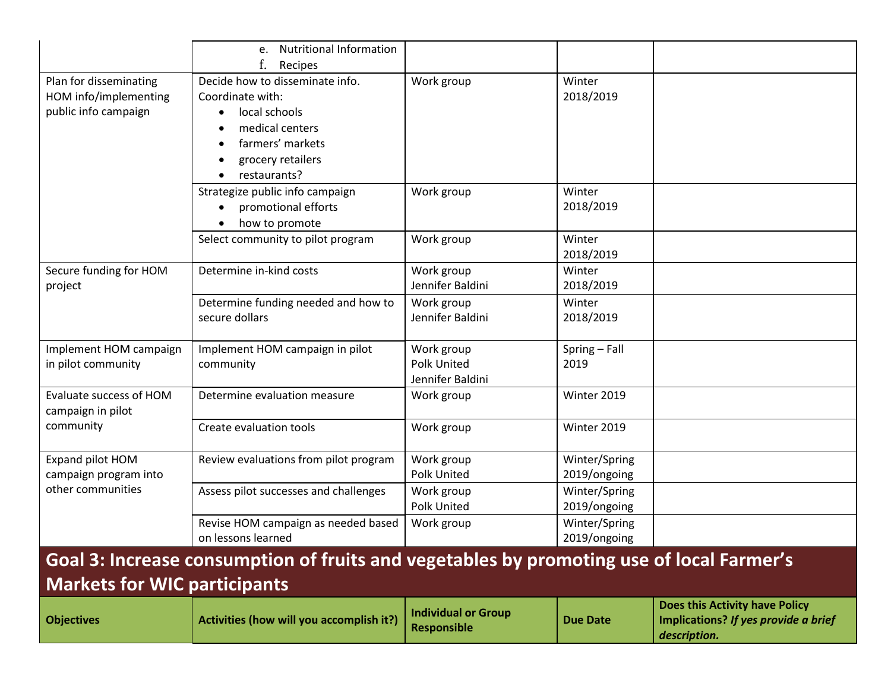|                                                                                          | <b>Nutritional Information</b><br>e.<br>Recipes                                                                                                  |                                                      |                               |                                                                                        |
|------------------------------------------------------------------------------------------|--------------------------------------------------------------------------------------------------------------------------------------------------|------------------------------------------------------|-------------------------------|----------------------------------------------------------------------------------------|
| Plan for disseminating<br>HOM info/implementing<br>public info campaign                  | Decide how to disseminate info.<br>Coordinate with:<br>local schools<br>medical centers<br>farmers' markets<br>grocery retailers<br>restaurants? | Work group                                           | Winter<br>2018/2019           |                                                                                        |
|                                                                                          | Strategize public info campaign<br>promotional efforts<br>how to promote                                                                         | Work group                                           | Winter<br>2018/2019           |                                                                                        |
|                                                                                          | Select community to pilot program                                                                                                                | Work group                                           | Winter<br>2018/2019           |                                                                                        |
| Secure funding for HOM<br>project                                                        | Determine in-kind costs                                                                                                                          | Work group<br>Jennifer Baldini                       | Winter<br>2018/2019           |                                                                                        |
|                                                                                          | Determine funding needed and how to<br>secure dollars                                                                                            | Work group<br>Jennifer Baldini                       | Winter<br>2018/2019           |                                                                                        |
| Implement HOM campaign<br>in pilot community                                             | Implement HOM campaign in pilot<br>community                                                                                                     | Work group<br><b>Polk United</b><br>Jennifer Baldini | Spring - Fall<br>2019         |                                                                                        |
| Evaluate success of HOM<br>campaign in pilot                                             | Determine evaluation measure                                                                                                                     | Work group                                           | Winter 2019                   |                                                                                        |
| community                                                                                | Create evaluation tools                                                                                                                          | Work group                                           | Winter 2019                   |                                                                                        |
| Expand pilot HOM<br>campaign program into                                                | Review evaluations from pilot program                                                                                                            | Work group<br>Polk United                            | Winter/Spring<br>2019/ongoing |                                                                                        |
| other communities                                                                        | Assess pilot successes and challenges                                                                                                            | Work group<br>Polk United                            | Winter/Spring<br>2019/ongoing |                                                                                        |
|                                                                                          | Revise HOM campaign as needed based<br>on lessons learned                                                                                        | Work group                                           | Winter/Spring<br>2019/ongoing |                                                                                        |
| Goal 3: Increase consumption of fruits and vegetables by promoting use of local Farmer's |                                                                                                                                                  |                                                      |                               |                                                                                        |
| <b>Markets for WIC participants</b>                                                      |                                                                                                                                                  |                                                      |                               |                                                                                        |
| <b>Objectives</b>                                                                        | Activities (how will you accomplish it?)                                                                                                         | <b>Individual or Group</b><br><b>Responsible</b>     | <b>Due Date</b>               | Does this Activity have Policy<br>Implications? If yes provide a brief<br>description. |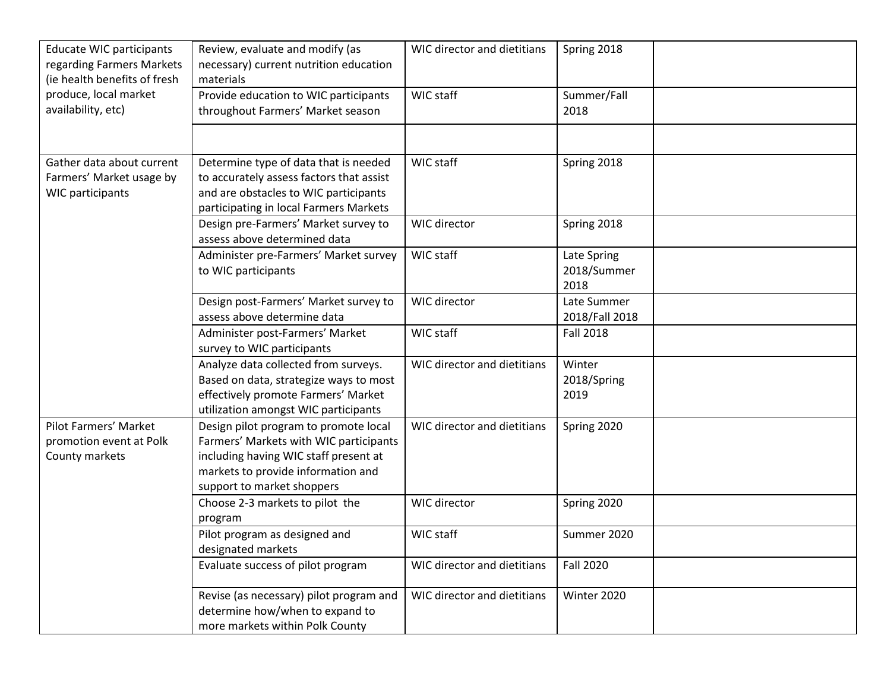| <b>Educate WIC participants</b><br>regarding Farmers Markets<br>(ie health benefits of fresh | Review, evaluate and modify (as<br>necessary) current nutrition education<br>materials                                                                                                       | WIC director and dietitians | Spring 2018                        |
|----------------------------------------------------------------------------------------------|----------------------------------------------------------------------------------------------------------------------------------------------------------------------------------------------|-----------------------------|------------------------------------|
| produce, local market<br>availability, etc)                                                  | Provide education to WIC participants<br>throughout Farmers' Market season                                                                                                                   | WIC staff                   | Summer/Fall<br>2018                |
|                                                                                              |                                                                                                                                                                                              |                             |                                    |
| Gather data about current<br>Farmers' Market usage by<br><b>WIC participants</b>             | Determine type of data that is needed<br>to accurately assess factors that assist<br>and are obstacles to WIC participants<br>participating in local Farmers Markets                         | WIC staff                   | Spring 2018                        |
|                                                                                              | Design pre-Farmers' Market survey to<br>assess above determined data                                                                                                                         | <b>WIC director</b>         | Spring 2018                        |
|                                                                                              | Administer pre-Farmers' Market survey<br>to WIC participants                                                                                                                                 | WIC staff                   | Late Spring<br>2018/Summer<br>2018 |
|                                                                                              | Design post-Farmers' Market survey to<br>assess above determine data                                                                                                                         | WIC director                | Late Summer<br>2018/Fall 2018      |
|                                                                                              | Administer post-Farmers' Market<br>survey to WIC participants                                                                                                                                | WIC staff                   | <b>Fall 2018</b>                   |
|                                                                                              | Analyze data collected from surveys.<br>Based on data, strategize ways to most<br>effectively promote Farmers' Market<br>utilization amongst WIC participants                                | WIC director and dietitians | Winter<br>2018/Spring<br>2019      |
| Pilot Farmers' Market<br>promotion event at Polk<br>County markets                           | Design pilot program to promote local<br>Farmers' Markets with WIC participants<br>including having WIC staff present at<br>markets to provide information and<br>support to market shoppers | WIC director and dietitians | Spring 2020                        |
|                                                                                              | Choose 2-3 markets to pilot the<br>program                                                                                                                                                   | <b>WIC director</b>         | Spring 2020                        |
|                                                                                              | Pilot program as designed and<br>designated markets                                                                                                                                          | WIC staff                   | Summer 2020                        |
|                                                                                              | Evaluate success of pilot program                                                                                                                                                            | WIC director and dietitians | <b>Fall 2020</b>                   |
|                                                                                              | Revise (as necessary) pilot program and<br>determine how/when to expand to<br>more markets within Polk County                                                                                | WIC director and dietitians | Winter 2020                        |